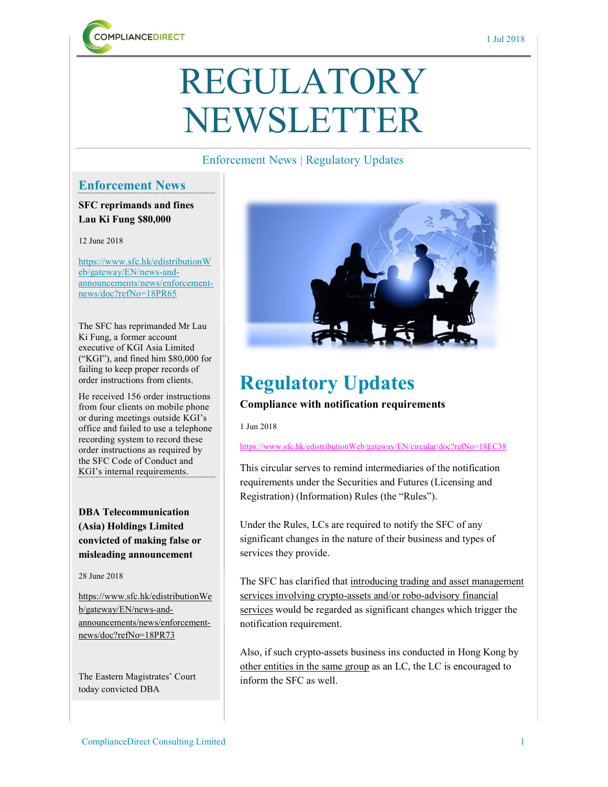

# REGULATORY NEWSLETTER

#### Enforcement News | Regulatory Updates

#### Enforcement News

SFC reprimands and fines Lau Ki Fung \$80,000

12 June 2018

https://www.sfc.hk/edistributionW eb/gateway/EN/news-andannouncements/news/enforcementnews/doc?refNo=18PR65

The SFC has reprimanded Mr Lau Ki Fung, a former account executive of KGI Asia Limited ("KGI"), and fined him \$80,000 for failing to keep proper records of order instructions from clients.

He received 156 order instructions from four clients on mobile phone or during meetings outside KGI's office and failed to use a telephone recording system to record these order instructions as required by the SFC Code of Conduct and KGI's internal requirements.

DBA Telecommunication (Asia) Holdings Limited convicted of making false or misleading announcement

28 June 2018

https://www.sfc.hk/edistributionWe b/gateway/EN/news-andannouncements/news/enforcementnews/doc?refNo=18PR73

The Eastern Magistrates' Court today convicted DBA



## Regulatory Updates

Compliance with notification requirements

1 Jun 2018

https://www.sfc.hk/edistributionWeb/gateway/EN/circular/doc?refNo=18EC38

This circular serves to remind intermediaries of the notification requirements under the Securities and Futures (Licensing and Registration) (Information) Rules (the "Rules").

Under the Rules, LCs are required to notify the SFC of any significant changes in the nature of their business and types of services they provide.

The SFC has clarified that introducing trading and asset management services involving crypto-assets and/or robo-advisory financial services would be regarded as significant changes which trigger the notification requirement.

Also, if such crypto-assets business ins conducted in Hong Kong by other entities in the same group as an LC, the LC is encouraged to inform the SFC as well.